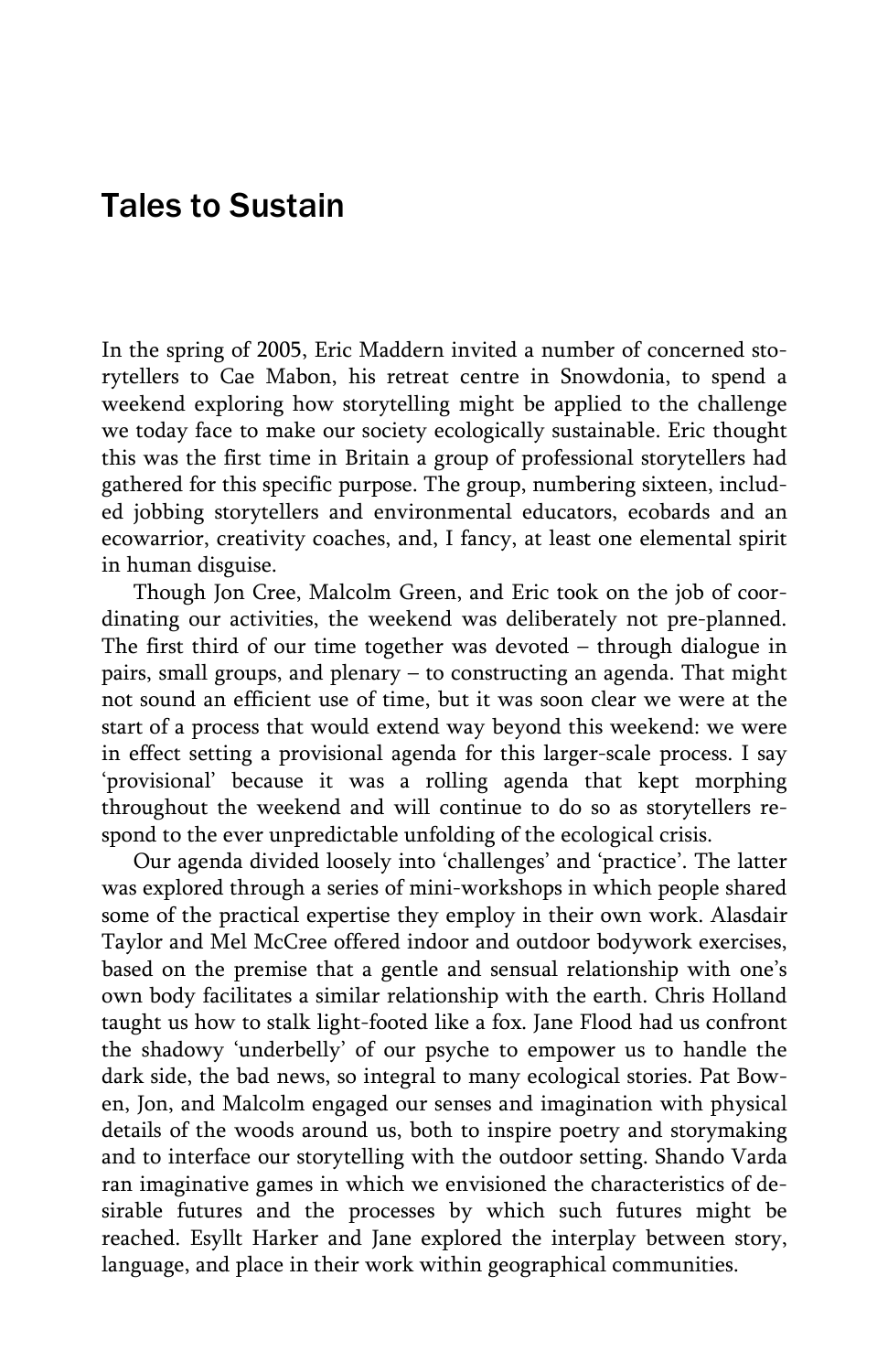## Tales to Sustain

In the spring of 2005, Eric Maddern invited a number of concerned storytellers to Cae Mabon, his retreat centre in Snowdonia, to spend a weekend exploring how storytelling might be applied to the challenge we today face to make our society ecologically sustainable. Eric thought this was the first time in Britain a group of professional storytellers had gathered for this specific purpose. The group, numbering sixteen, included jobbing storytellers and environmental educators, ecobards and an ecowarrior, creativity coaches, and, I fancy, at least one elemental spirit in human disguise.

 Though Jon Cree, Malcolm Green, and Eric took on the job of coordinating our activities, the weekend was deliberately not pre-planned. The first third of our time together was devoted – through dialogue in pairs, small groups, and plenary – to constructing an agenda. That might not sound an efficient use of time, but it was soon clear we were at the start of a process that would extend way beyond this weekend: we were in effect setting a provisional agenda for this larger-scale process. I say 'provisional' because it was a rolling agenda that kept morphing throughout the weekend and will continue to do so as storytellers respond to the ever unpredictable unfolding of the ecological crisis.

 Our agenda divided loosely into 'challenges' and 'practice'. The latter was explored through a series of mini-workshops in which people shared some of the practical expertise they employ in their own work. Alasdair Taylor and Mel McCree offered indoor and outdoor bodywork exercises, based on the premise that a gentle and sensual relationship with one's own body facilitates a similar relationship with the earth. Chris Holland taught us how to stalk light-footed like a fox. Jane Flood had us confront the shadowy 'underbelly' of our psyche to empower us to handle the dark side, the bad news, so integral to many ecological stories. Pat Bowen, Jon, and Malcolm engaged our senses and imagination with physical details of the woods around us, both to inspire poetry and storymaking and to interface our storytelling with the outdoor setting. Shando Varda ran imaginative games in which we envisioned the characteristics of desirable futures and the processes by which such futures might be reached. Esyllt Harker and Jane explored the interplay between story, language, and place in their work within geographical communities.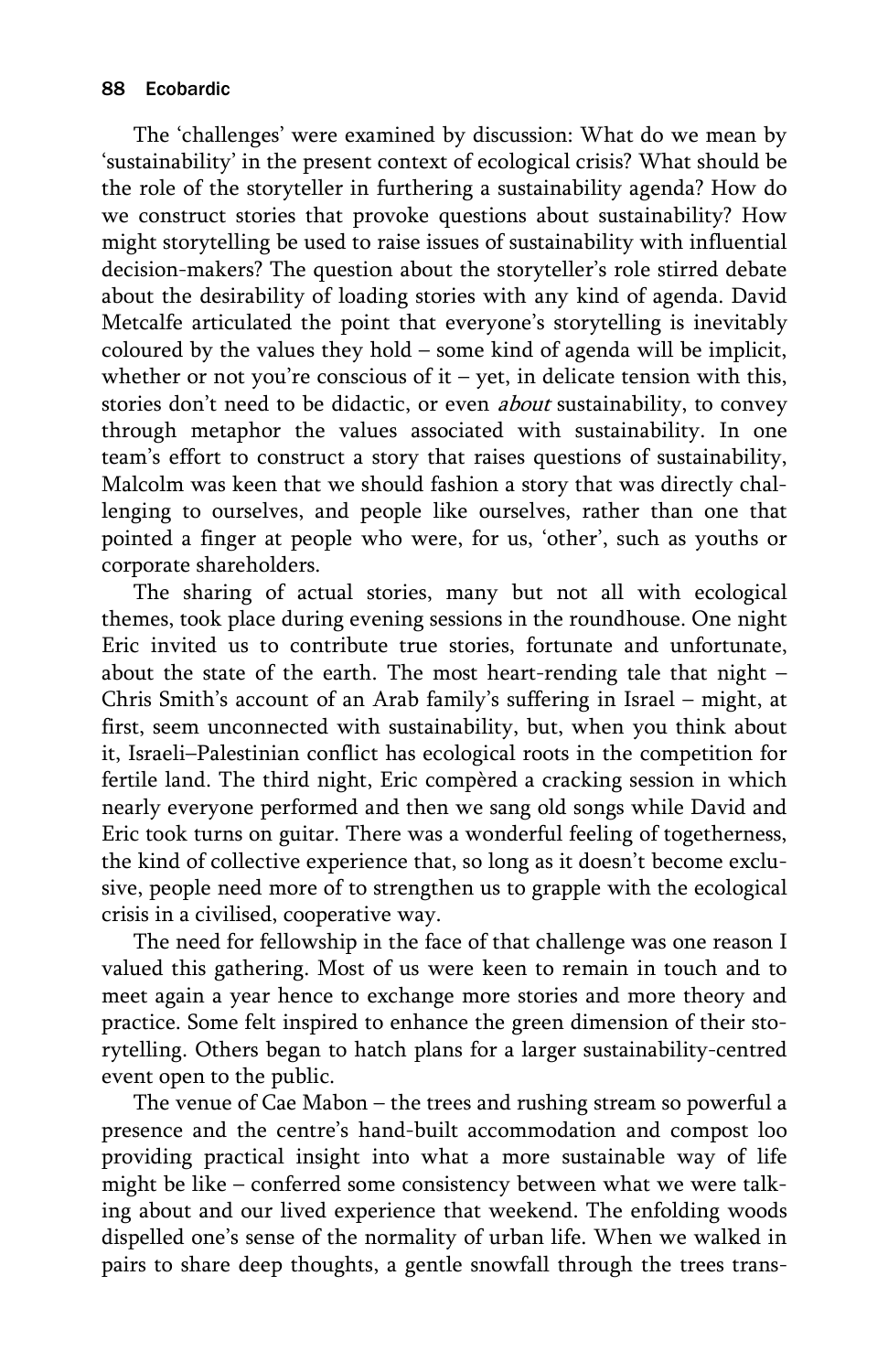The 'challenges' were examined by discussion: What do we mean by 'sustainability' in the present context of ecological crisis? What should be the role of the storyteller in furthering a sustainability agenda? How do we construct stories that provoke questions about sustainability? How might storytelling be used to raise issues of sustainability with influential decision-makers? The question about the storyteller's role stirred debate about the desirability of loading stories with any kind of agenda. David Metcalfe articulated the point that everyone's storytelling is inevitably coloured by the values they hold – some kind of agenda will be implicit, whether or not you're conscious of it – yet, in delicate tension with this, stories don't need to be didactic, or even *about* sustainability, to convey through metaphor the values associated with sustainability. In one team's effort to construct a story that raises questions of sustainability, Malcolm was keen that we should fashion a story that was directly challenging to ourselves, and people like ourselves, rather than one that pointed a finger at people who were, for us, 'other', such as youths or corporate shareholders.

 The sharing of actual stories, many but not all with ecological themes, took place during evening sessions in the roundhouse. One night Eric invited us to contribute true stories, fortunate and unfortunate, about the state of the earth. The most heart-rending tale that night – Chris Smith's account of an Arab family's suffering in Israel – might, at first, seem unconnected with sustainability, but, when you think about it, Israeli–Palestinian conflict has ecological roots in the competition for fertile land. The third night, Eric compèred a cracking session in which nearly everyone performed and then we sang old songs while David and Eric took turns on guitar. There was a wonderful feeling of togetherness, the kind of collective experience that, so long as it doesn't become exclusive, people need more of to strengthen us to grapple with the ecological crisis in a civilised, cooperative way.

 The need for fellowship in the face of that challenge was one reason I valued this gathering. Most of us were keen to remain in touch and to meet again a year hence to exchange more stories and more theory and practice. Some felt inspired to enhance the green dimension of their storytelling. Others began to hatch plans for a larger sustainability-centred event open to the public.

 The venue of Cae Mabon – the trees and rushing stream so powerful a presence and the centre's hand-built accommodation and compost loo providing practical insight into what a more sustainable way of life might be like – conferred some consistency between what we were talking about and our lived experience that weekend. The enfolding woods dispelled one's sense of the normality of urban life. When we walked in pairs to share deep thoughts, a gentle snowfall through the trees trans-